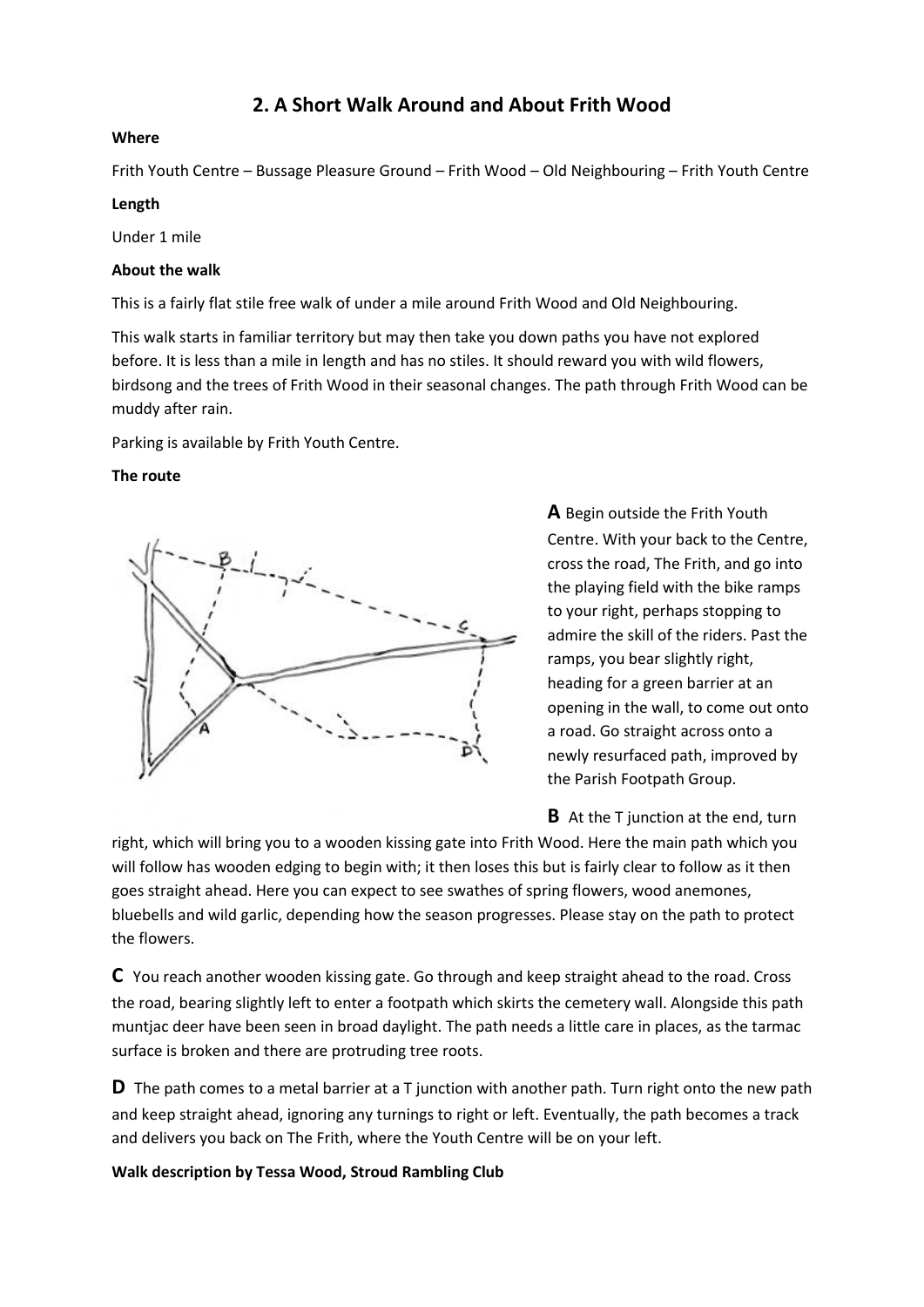# **2. A Short Walk Around and About Frith Wood**

### **Where**

Frith Youth Centre – Bussage Pleasure Ground – Frith Wood – Old Neighbouring – Frith Youth Centre

## **Length**

Under 1 mile

## **About the walk**

This is a fairly flat stile free walk of under a mile around Frith Wood and Old Neighbouring.

This walk starts in familiar territory but may then take you down paths you have not explored before. It is less than a mile in length and has no stiles. It should reward you with wild flowers, birdsong and the trees of Frith Wood in their seasonal changes. The path through Frith Wood can be muddy after rain.

Parking is available by Frith Youth Centre.

## **The route**



**A** Begin outside the Frith Youth Centre. With your back to the Centre, cross the road, The Frith, and go into the playing field with the bike ramps to your right, perhaps stopping to admire the skill of the riders. Past the ramps, you bear slightly right, heading for a green barrier at an opening in the wall, to come out onto a road. Go straight across onto a newly resurfaced path, improved by the Parish Footpath Group.

**B** At the T junction at the end, turn

right, which will bring you to a wooden kissing gate into Frith Wood. Here the main path which you will follow has wooden edging to begin with; it then loses this but is fairly clear to follow as it then goes straight ahead. Here you can expect to see swathes of spring flowers, wood anemones, bluebells and wild garlic, depending how the season progresses. Please stay on the path to protect the flowers.

**C** You reach another wooden kissing gate. Go through and keep straight ahead to the road. Cross the road, bearing slightly left to enter a footpath which skirts the cemetery wall. Alongside this path muntjac deer have been seen in broad daylight. The path needs a little care in places, as the tarmac surface is broken and there are protruding tree roots.

**D** The path comes to a metal barrier at a T junction with another path. Turn right onto the new path and keep straight ahead, ignoring any turnings to right or left. Eventually, the path becomes a track and delivers you back on The Frith, where the Youth Centre will be on your left.

**Walk description by Tessa Wood, Stroud Rambling Club**